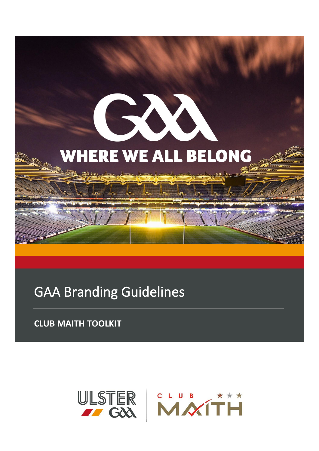

# GAA Branding Guidelines

**CLUB MAITH TOOLKIT**

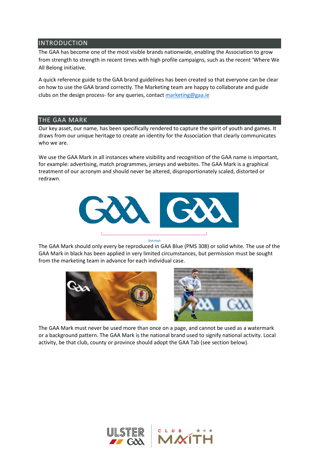## INTRODUCTION

The GAA has become one of the most visible brands nationwide, enabling the Association to grow from strength to strength in recent times with high profile campaigns, such as the recent 'Where We All Belong initiative.

A quick reference guide to the GAA brand guidelines has been created so that everyone can be clear on how to use the GAA brand correctly. The Marketing team are happy to collaborate and guide clubs on the design process- for any queries, contact [marketing@gaa.ie](mailto:marketing@gaa.ie)

# THE GAA MARK

Our key asset, our name, has been specifically rendered to capture the spirit of youth and games. It draws from our unique heritage to create an identity for the Association that clearly communicates who we are.

We use the GAA Mark in all instances where visibility and recognition of the GAA name is important, for example: advertising, match programmes, jerseys and websites. The GAA Mark is a graphical treatment of our acronym and should never be altered, disproportionately scaled, distorted or redrawn.



**GAA Mark** 

The GAA Mark should only every be reproduced in GAA Blue (PMS 308) or solid white. The use of the GAA Mark in black has been applied in very limited circumstances, but permission must be sought from the marketing team in advance for each individual case.





The GAA Mark must never be used more than once on a page, and cannot be used as a watermark or a background pattern. The GAA Mark is the national brand used to signify national activity. Local activity, be that club, county or province should adopt the GAA Tab (see section below).

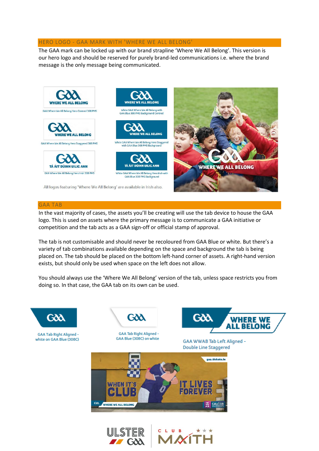#### HERO LOGO - GAA MARK WITH 'WHERE WE ALL BELONG'

The GAA mark can be locked up with our brand strapline 'Where We All Belong'. This version is our hero logo and should be reserved for purely brand-led communications i.e. where the brand message is the only message being communicated.



#### GAA TAB

In the vast majority of cases, the assets you'll be creating will use the tab device to house the GAA logo. This is used on assets where the primary message is to communicate a GAA initiative or competition and the tab acts as a GAA sign-off or official stamp of approval.

The tab is not customisable and should never be recoloured from GAA Blue or white. But there's a variety of tab combinations available depending on the space and background the tab is being placed on. The tab should be placed on the bottom left-hand corner of assets. A right-hand version exists, but should only be used when space on the left does not allow.

You should always use the 'Where We All Belong' version of the tab, unless space restricts you from doing so. In that case, the GAA tab on its own can be used.

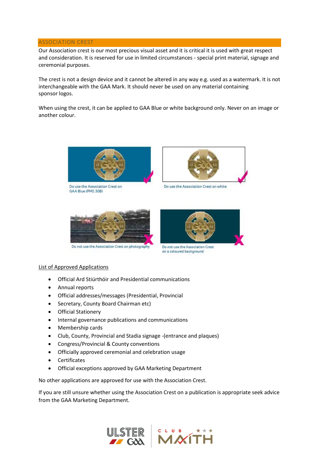#### ASSOCIATION CREST

Our Association crest is our most precious visual asset and it is critical it is used with great respect and consideration. It is reserved for use in limited circumstances - special print material, signage and ceremonial purposes.

The crest is not a design device and it cannot be altered in any way e.g. used as a watermark. It is not interchangeable with the GAA Mark. It should never be used on any material containing sponsor logos.

When using the crest, it can be applied to GAA Blue or white background only. Never on an image or another colour.



Do use the Association Crest on GAA Blue (PMS 308)



Do use the Association Crest on white



Do not use the Association Crest on photography



Do not use the Association Crest on a coloured background

## List of Approved Applications

- Official Ard Stiúrthóir and Presidential communications
- Annual reports
- Official addresses/messages (Presidential, Provincial
- Secretary, County Board Chairman etc)
- Official Stationery
- Internal governance publications and communications
- Membership cards
- Club, County, Provincial and Stadia signage -(entrance and plaques)
- Congress/Provincial & County conventions
- Officially approved ceremonial and celebration usage
- Certificates
- Official exceptions approved by GAA Marketing Department

No other applications are approved for use with the Association Crest.

If you are still unsure whether using the Association Crest on a publication is appropriate seek advice from the GAA Marketing Department.

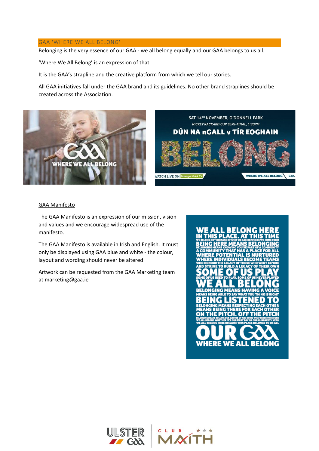#### GAA 'WHERE WE ALL BELONG'

Belonging is the very essence of our GAA - we all belong equally and our GAA belongs to us all.

'Where We All Belong' is an expression of that.

It is the GAA's strapline and the creative platform from which we tell our stories.

All GAA initiatives fall under the GAA brand and its guidelines. No other brand straplines should be created across the Association.



## GAA Manifesto

The GAA Manifesto is an expression of our mission, vision and values and we encourage widespread use of the manifesto.

The GAA Manifesto is available in Irish and English. It must only be displayed using GAA blue and white - the colour, layout and wording should never be altered.

Artwork can be requested from the GAA Marketing team at marketing@gaa.ie